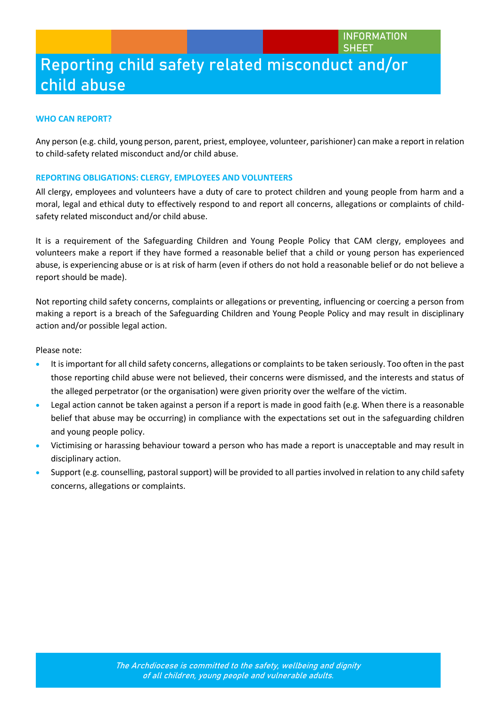**INFORMATION SHEET**

# **Reporting child safety related misconduct and/or child abuse**

#### **WHO CAN REPORT?**

Any person (e.g. child, young person, parent, priest, employee, volunteer, parishioner) can make a report in relation to child-safety related misconduct and/or child abuse.

#### **REPORTING OBLIGATIONS: CLERGY, EMPLOYEES AND VOLUNTEERS**

All clergy, employees and volunteers have a duty of care to protect children and young people from harm and a moral, legal and ethical duty to effectively respond to and report all concerns, allegations or complaints of childsafety related misconduct and/or child abuse.

It is a requirement of the Safeguarding Children and Young People Policy that CAM clergy, employees and volunteers make a report if they have formed a reasonable belief that a child or young person has experienced abuse, is experiencing abuse or is at risk of harm (even if others do not hold a reasonable belief or do not believe a report should be made).

Not reporting child safety concerns, complaints or allegations or preventing, influencing or coercing a person from making a report is a breach of the Safeguarding Children and Young People Policy and may result in disciplinary action and/or possible legal action.

Please note:

- It is important for all child safety concerns, allegations or complaints to be taken seriously. Too often in the past those reporting child abuse were not believed, their concerns were dismissed, and the interests and status of the alleged perpetrator (or the organisation) were given priority over the welfare of the victim.
- Legal action cannot be taken against a person if a report is made in good faith (e.g. When there is a reasonable belief that abuse may be occurring) in compliance with the expectations set out in the safeguarding children and young people policy.
- Victimising or harassing behaviour toward a person who has made a report is unacceptable and may result in disciplinary action.
- Support (e.g. counselling, pastoral support) will be provided to all parties involved in relation to any child safety concerns, allegations or complaints.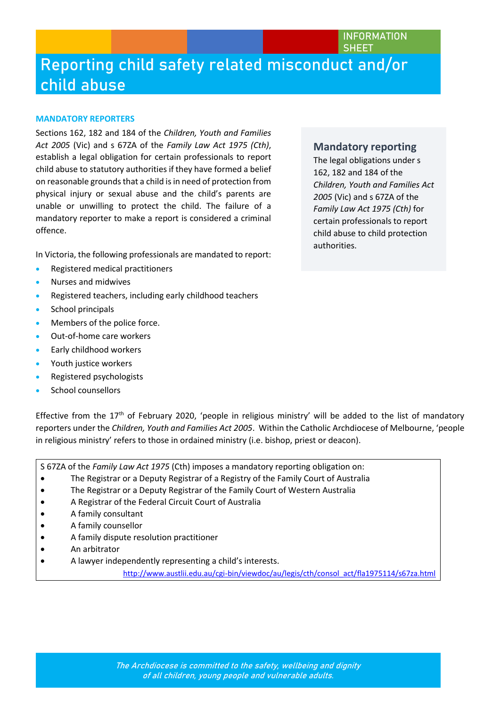**INFORMATION SHEET**

### **Reporting child safety related misconduct and/or child abuse**

#### **MANDATORY REPORTERS**

Sections 162, 182 and 184 of the *Children, Youth and Families Act 2005* (Vic) and s 67ZA of the *Family Law Act 1975 (Cth)*, establish a legal obligation for certain professionals to report child abuse to statutory authorities if they have formed a belief on reasonable grounds that a child is in need of protection from physical injury or sexual abuse and the child's parents are unable or unwilling to protect the child. The failure of a mandatory reporter to make a report is considered a criminal offence.

In Victoria, the following professionals are mandated to report:

- Registered medical practitioners
- Nurses and midwives
- Registered teachers, including early childhood teachers
- School principals
- Members of the police force.
- Out-of-home care workers
- Early childhood workers
- Youth justice workers
- Registered psychologists
- School counsellors

Effective from the  $17<sup>th</sup>$  of February 2020, 'people in religious ministry' will be added to the list of mandatory reporters under the *Children, Youth and Families Act 2005*. Within the Catholic Archdiocese of Melbourne, 'people in religious ministry' refers to those in ordained ministry (i.e. bishop, priest or deacon).

S 67ZA of the *Family Law Act 1975* (Cth) imposes a mandatory reporting obligation on:

- The Registrar or a Deputy Registrar of a Registry of the Family Court of Australia
- The Registrar or a Deputy Registrar of the Family Court of Western Australia
- A Registrar of the Federal Circuit Court of Australia
- A family consultant
- A family counsellor
- A family dispute resolution practitioner
- An arbitrator
- A lawyer independently representing a child's interests.

[http://www.austlii.edu.au/cgi-bin/viewdoc/au/legis/cth/consol\\_act/fla1975114/s67za.html](http://www.austlii.edu.au/cgi-bin/viewdoc/au/legis/cth/consol_act/fla1975114/s67za.html)

#### **Mandatory reporting**

The legal obligations under s 162, 182 and 184 of the *Children, Youth and Families Act 2005* (Vic) and s 67ZA of the *Family Law Act 1975 (Cth)* for certain professionals to report child abuse to child protection authorities.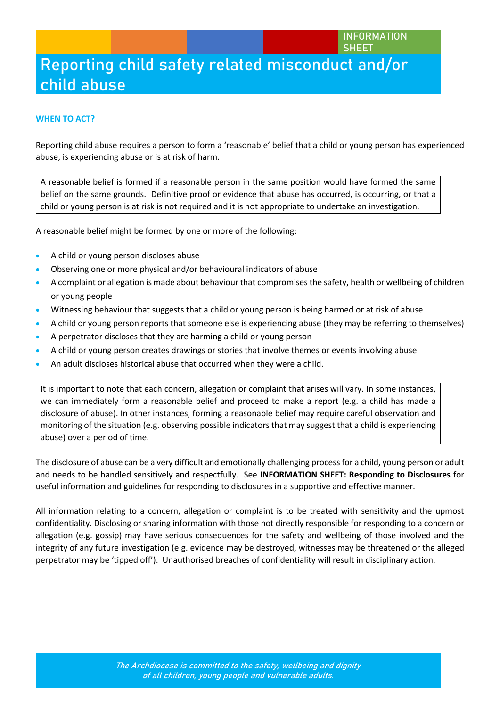#### **INFORMATION SHEET**

# **Reporting child safety related misconduct and/or child abuse**

#### **WHEN TO ACT?**

Reporting child abuse requires a person to form a 'reasonable' belief that a child or young person has experienced abuse, is experiencing abuse or is at risk of harm.

A reasonable belief is formed if a reasonable person in the same position would have formed the same belief on the same grounds. Definitive proof or evidence that abuse has occurred, is occurring, or that a child or young person is at risk is not required and it is not appropriate to undertake an investigation.

A reasonable belief might be formed by one or more of the following:

- A child or young person discloses abuse
- Observing one or more physical and/or behavioural indicators of abuse
- A complaint or allegation is made about behaviour that compromises the safety, health or wellbeing of children or young people
- Witnessing behaviour that suggests that a child or young person is being harmed or at risk of abuse
- A child or young person reports that someone else is experiencing abuse (they may be referring to themselves)
- A perpetrator discloses that they are harming a child or young person
- A child or young person creates drawings or stories that involve themes or events involving abuse
- An adult discloses historical abuse that occurred when they were a child.

It is important to note that each concern, allegation or complaint that arises will vary. In some instances, we can immediately form a reasonable belief and proceed to make a report (e.g. a child has made a disclosure of abuse). In other instances, forming a reasonable belief may require careful observation and monitoring of the situation (e.g. observing possible indicators that may suggest that a child is experiencing abuse) over a period of time.

The disclosure of abuse can be a very difficult and emotionally challenging process for a child, young person or adult and needs to be handled sensitively and respectfully. See **INFORMATION SHEET: Responding to Disclosures** for useful information and guidelines for responding to disclosures in a supportive and effective manner.

All information relating to a concern, allegation or complaint is to be treated with sensitivity and the upmost confidentiality. Disclosing or sharing information with those not directly responsible for responding to a concern or allegation (e.g. gossip) may have serious consequences for the safety and wellbeing of those involved and the integrity of any future investigation (e.g. evidence may be destroyed, witnesses may be threatened or the alleged perpetrator may be 'tipped off'). Unauthorised breaches of confidentiality will result in disciplinary action.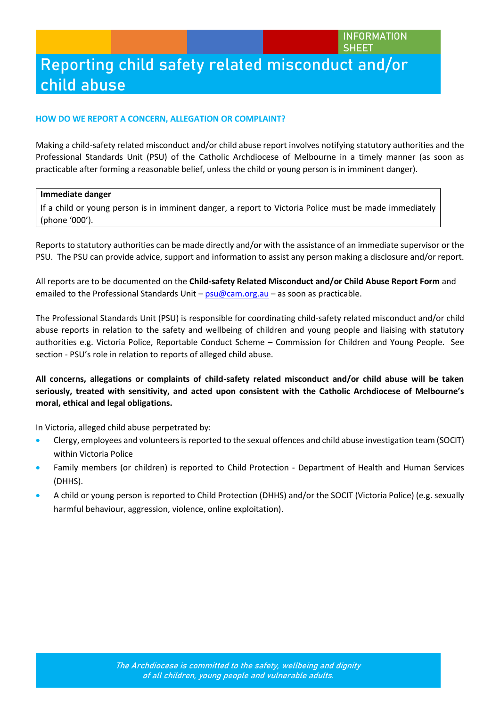#### **HOW DO WE REPORT A CONCERN, ALLEGATION OR COMPLAINT?**

Making a child-safety related misconduct and/or child abuse report involves notifying statutory authorities and the Professional Standards Unit (PSU) of the Catholic Archdiocese of Melbourne in a timely manner (as soon as practicable after forming a reasonable belief, unless the child or young person is in imminent danger).

#### **Immediate danger**

If a child or young person is in imminent danger, a report to Victoria Police must be made immediately (phone '000').

Reports to statutory authorities can be made directly and/or with the assistance of an immediate supervisor or the PSU. The PSU can provide advice, support and information to assist any person making a disclosure and/or report.

All reports are to be documented on the **Child-safety Related Misconduct and/or Child Abuse Report Form** and emailed to the Professional Standards Unit – [psu@cam.org.au](mailto:psu@cam.org.au) – as soon as practicable.

The Professional Standards Unit (PSU) is responsible for coordinating child-safety related misconduct and/or child abuse reports in relation to the safety and wellbeing of children and young people and liaising with statutory authorities e.g. Victoria Police, Reportable Conduct Scheme – Commission for Children and Young People. See section - PSU's role in relation to reports of alleged child abuse.

**All concerns, allegations or complaints of child-safety related misconduct and/or child abuse will be taken seriously, treated with sensitivity, and acted upon consistent with the Catholic Archdiocese of Melbourne's moral, ethical and legal obligations.** 

In Victoria, alleged child abuse perpetrated by:

- Clergy, employees and volunteers is reported to the sexual offences and child abuse investigation team (SOCIT) within Victoria Police
- Family members (or children) is reported to Child Protection Department of Health and Human Services (DHHS).
- A child or young person is reported to Child Protection (DHHS) and/or the SOCIT (Victoria Police) (e.g. sexually harmful behaviour, aggression, violence, online exploitation).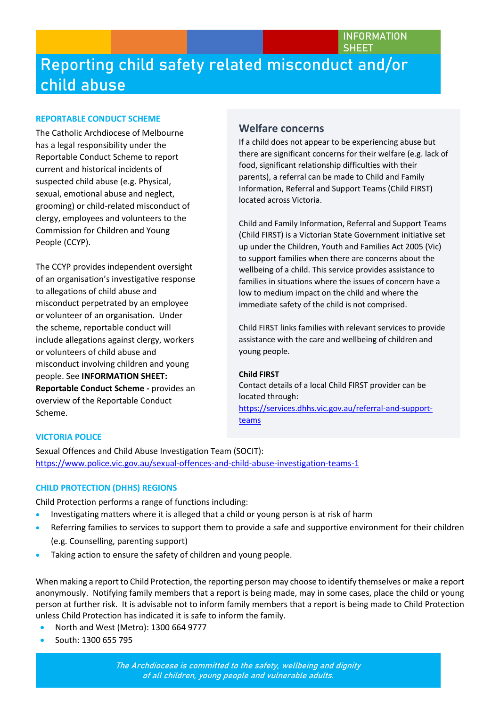#### **REPORTABLE CONDUCT SCHEME**

The Catholic Archdiocese of Melbourne has a legal responsibility under the Reportable Conduct Scheme to report current and historical incidents of suspected child abuse (e.g. Physical, sexual, emotional abuse and neglect, grooming) or child-related misconduct of clergy, employees and volunteers to the Commission for Children and Young People (CCYP).

The CCYP provides independent oversight of an organisation's investigative response to allegations of child abuse and misconduct perpetrated by an employee or volunteer of an organisation. Under the scheme, reportable conduct will include allegations against clergy, workers or volunteers of child abuse and misconduct involving children and young people. See **INFORMATION SHEET: Reportable Conduct Scheme -** provides an overview of the Reportable Conduct Scheme.

### **Welfare concerns**

If a child does not appear to be experiencing abuse but there are significant concerns for their welfare (e.g. lack of food, significant relationship difficulties with their parents), a referral can be made to Child and Family Information, Referral and Support Teams (Child FIRST) located across Victoria.

Child and Family Information, Referral and Support Teams (Child FIRST) is a Victorian State Government initiative set up under the Children, Youth and Families Act 2005 (Vic) to support families when there are concerns about the wellbeing of a child. This service provides assistance to families in situations where the issues of concern have a low to medium impact on the child and where the immediate safety of the child is not comprised.

Child FIRST links families with relevant services to provide assistance with the care and wellbeing of children and young people.

#### **Child FIRST**

Contact details of a local Child FIRST provider can be located through: [https://services.dhhs.vic.gov.au/referral-and-support](https://services.dhhs.vic.gov.au/referral-and-support-teams)[teams](https://services.dhhs.vic.gov.au/referral-and-support-teams)

#### **VICTORIA POLICE**

Sexual Offences and Child Abuse Investigation Team (SOCIT): <https://www.police.vic.gov.au/sexual-offences-and-child-abuse-investigation-teams-1>

#### **CHILD PROTECTION (DHHS) REGIONS**

Child Protection performs a range of functions including:

- Investigating matters where it is alleged that a child or young person is at risk of harm
- Referring families to services to support them to provide a safe and supportive environment for their children (e.g. Counselling, parenting support)
- Taking action to ensure the safety of children and young people.

When making a report to Child Protection, the reporting person may choose to identify themselves or make a report anonymously. Notifying family members that a report is being made, may in some cases, place the child or young person at further risk. It is advisable not to inform family members that a report is being made to Child Protection unless Child Protection has indicated it is safe to inform the family.

- North and West (Metro): 1300 664 9777
- South: 1300 655 795

**The Archdiocese is committed to the safety, wellbeing and dignity of all children, young people and vulnerable adults.**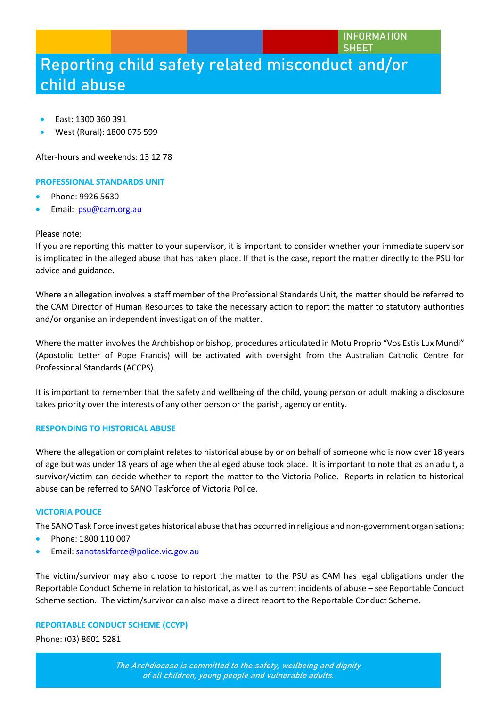- East: 1300 360 391
- West (Rural): 1800 075 599

After-hours and weekends: 13 12 78

#### **PROFESSIONAL STANDARDS UNIT**

- Phone: 9926 5630
- Email: [psu@cam.org.au](mailto:psu@cam.org.au)

#### Please note:

If you are reporting this matter to your supervisor, it is important to consider whether your immediate supervisor is implicated in the alleged abuse that has taken place. If that is the case, report the matter directly to the PSU for advice and guidance.

Where an allegation involves a staff member of the Professional Standards Unit, the matter should be referred to the CAM Director of Human Resources to take the necessary action to report the matter to statutory authorities and/or organise an independent investigation of the matter.

Where the matter involves the Archbishop or bishop, procedures articulated in Motu Proprio "Vos Estis Lux Mundi" (Apostolic Letter of Pope Francis) will be activated with oversight from the Australian Catholic Centre for Professional Standards (ACCPS).

It is important to remember that the safety and wellbeing of the child, young person or adult making a disclosure takes priority over the interests of any other person or the parish, agency or entity.

#### **RESPONDING TO HISTORICAL ABUSE**

Where the allegation or complaint relates to historical abuse by or on behalf of someone who is now over 18 years of age but was under 18 years of age when the alleged abuse took place. It is important to note that as an adult, a survivor/victim can decide whether to report the matter to the Victoria Police. Reports in relation to historical abuse can be referred to SANO Taskforce of Victoria Police.

#### **VICTORIA POLICE**

The SANO Task Force investigates historical abuse that has occurred in religious and non-government organisations:

- Phone: 1800 110 007
- **•** Email: [sanotaskforce@police.vic.gov.au](mailto:sanotaskforce@police.vic.gov.au)

The victim/survivor may also choose to report the matter to the PSU as CAM has legal obligations under the Reportable Conduct Scheme in relation to historical, as well as current incidents of abuse – see Reportable Conduct Scheme section. The victim/survivor can also make a direct report to the Reportable Conduct Scheme.

#### **REPORTABLE CONDUCT SCHEME (CCYP)**

Phone: (03) 8601 5281

**The Archdiocese is committed to the safety, wellbeing and dignity of all children, young people and vulnerable adults.**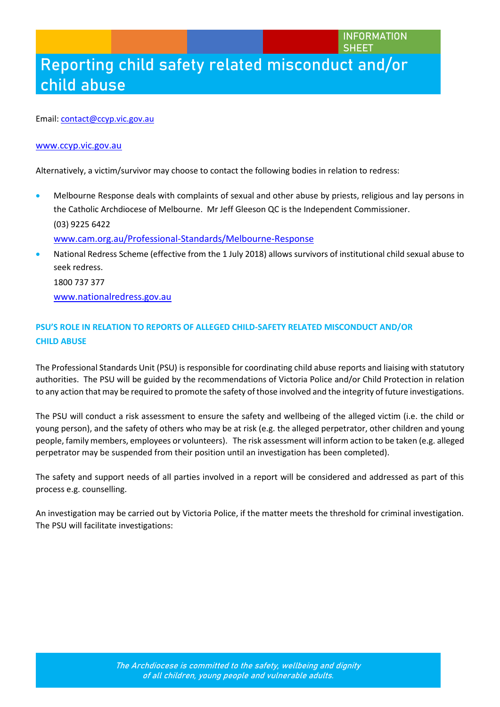#### Email[: contact@ccyp.vic.gov.au](mailto:contact@ccyp.vic.gov.au)

#### [www.ccyp.vic.gov.au](http://www.ccyp.vic.gov.au/)

Alternatively, a victim/survivor may choose to contact the following bodies in relation to redress:

- Melbourne Response deals with complaints of sexual and other abuse by priests, religious and lay persons in the Catholic Archdiocese of Melbourne. Mr Jeff Gleeson QC is the Independent Commissioner. (03) 9225 6422 [www.cam.org.au/Professional-Standards/Melbourne-Response](http://www.cam.org.au/Professional-Standards/Melbourne-Response)
- National Redress Scheme (effective from the 1 July 2018) allows survivors of institutional child sexual abuse to seek redress. 1800 737 377 [www.nationalredress.gov.au](http://www.nationalredress.gov.au/)

### **PSU'S ROLE IN RELATION TO REPORTS OF ALLEGED CHILD-SAFETY RELATED MISCONDUCT AND/OR CHILD ABUSE**

The Professional Standards Unit (PSU) is responsible for coordinating child abuse reports and liaising with statutory authorities. The PSU will be guided by the recommendations of Victoria Police and/or Child Protection in relation to any action that may be required to promote the safety of those involved and the integrity of future investigations.

The PSU will conduct a risk assessment to ensure the safety and wellbeing of the alleged victim (i.e. the child or young person), and the safety of others who may be at risk (e.g. the alleged perpetrator, other children and young people, family members, employees or volunteers). The risk assessment will inform action to be taken (e.g. alleged perpetrator may be suspended from their position until an investigation has been completed).

The safety and support needs of all parties involved in a report will be considered and addressed as part of this process e.g. counselling.

An investigation may be carried out by Victoria Police, if the matter meets the threshold for criminal investigation. The PSU will facilitate investigations: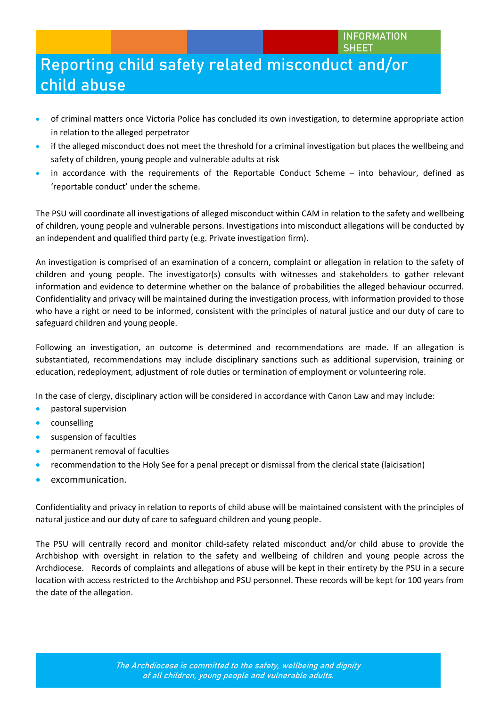- of criminal matters once Victoria Police has concluded its own investigation, to determine appropriate action in relation to the alleged perpetrator
- if the alleged misconduct does not meet the threshold for a criminal investigation but places the wellbeing and safety of children, young people and vulnerable adults at risk
- in accordance with the requirements of the Reportable Conduct Scheme into behaviour, defined as 'reportable conduct' under the scheme.

The PSU will coordinate all investigations of alleged misconduct within CAM in relation to the safety and wellbeing of children, young people and vulnerable persons. Investigations into misconduct allegations will be conducted by an independent and qualified third party (e.g. Private investigation firm).

An investigation is comprised of an examination of a concern, complaint or allegation in relation to the safety of children and young people. The investigator(s) consults with witnesses and stakeholders to gather relevant information and evidence to determine whether on the balance of probabilities the alleged behaviour occurred. Confidentiality and privacy will be maintained during the investigation process, with information provided to those who have a right or need to be informed, consistent with the principles of natural justice and our duty of care to safeguard children and young people.

Following an investigation, an outcome is determined and recommendations are made. If an allegation is substantiated, recommendations may include disciplinary sanctions such as additional supervision, training or education, redeployment, adjustment of role duties or termination of employment or volunteering role.

In the case of clergy, disciplinary action will be considered in accordance with Canon Law and may include:

- **•** pastoral supervision
- counselling
- **•** suspension of faculties
- permanent removal of faculties
- recommendation to the Holy See for a penal precept or dismissal from the clerical state (laicisation)
- excommunication.

Confidentiality and privacy in relation to reports of child abuse will be maintained consistent with the principles of natural justice and our duty of care to safeguard children and young people.

The PSU will centrally record and monitor child-safety related misconduct and/or child abuse to provide the Archbishop with oversight in relation to the safety and wellbeing of children and young people across the Archdiocese. Records of complaints and allegations of abuse will be kept in their entirety by the PSU in a secure location with access restricted to the Archbishop and PSU personnel. These records will be kept for 100 years from the date of the allegation.